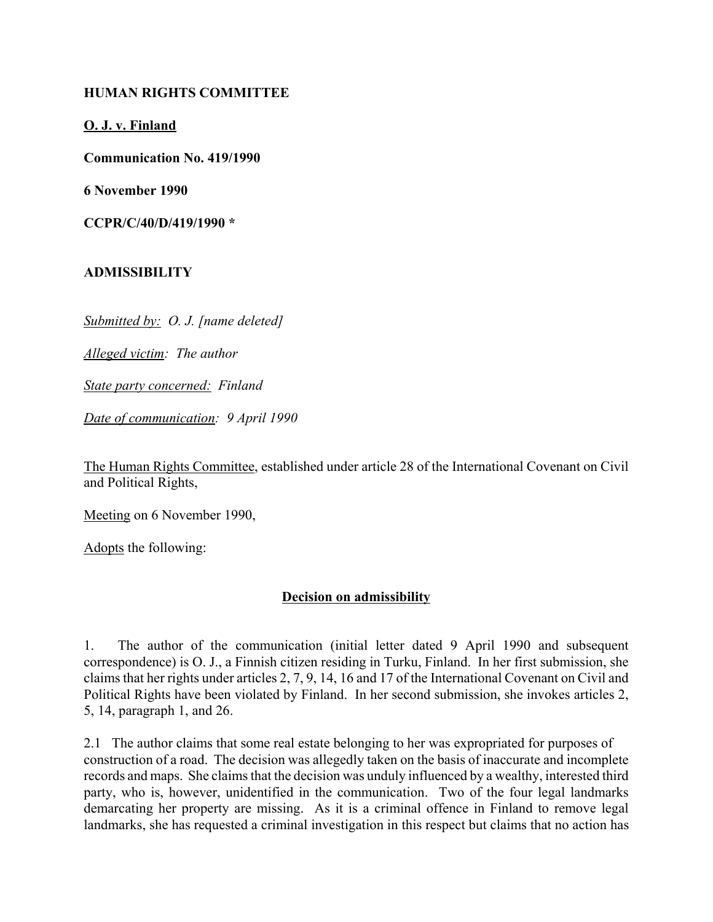## **HUMAN RIGHTS COMMITTEE**

## **O. J. v. Finland**

**Communication No. 419/1990**

**6 November 1990**

**CCPR/C/40/D/419/1990 \***

## **ADMISSIBILITY**

*Submitted by: O. J. [name deleted]*

*Alleged victim: The author*

*State party concerned: Finland*

*Date of communication: 9 April 1990*

The Human Rights Committee, established under article 28 of the International Covenant on Civil and Political Rights,

Meeting on 6 November 1990,

Adopts the following:

## **Decision on admissibility**

1. The author of the communication (initial letter dated 9 April 1990 and subsequent correspondence) is O. J., a Finnish citizen residing in Turku, Finland. In her first submission, she claims that her rights under articles 2, 7, 9, 14, 16 and 17 of the International Covenant on Civil and Political Rights have been violated by Finland. In her second submission, she invokes articles 2, 5, 14, paragraph 1, and 26.

2.1 The author claims that some real estate belonging to her was expropriated for purposes of construction of a road. The decision was allegedly taken on the basis of inaccurate and incomplete records and maps. She claims that the decision was unduly influenced by a wealthy, interested third party, who is, however, unidentified in the communication. Two of the four legal landmarks demarcating her property are missing. As it is a criminal offence in Finland to remove legal landmarks, she has requested a criminal investigation in this respect but claims that no action has